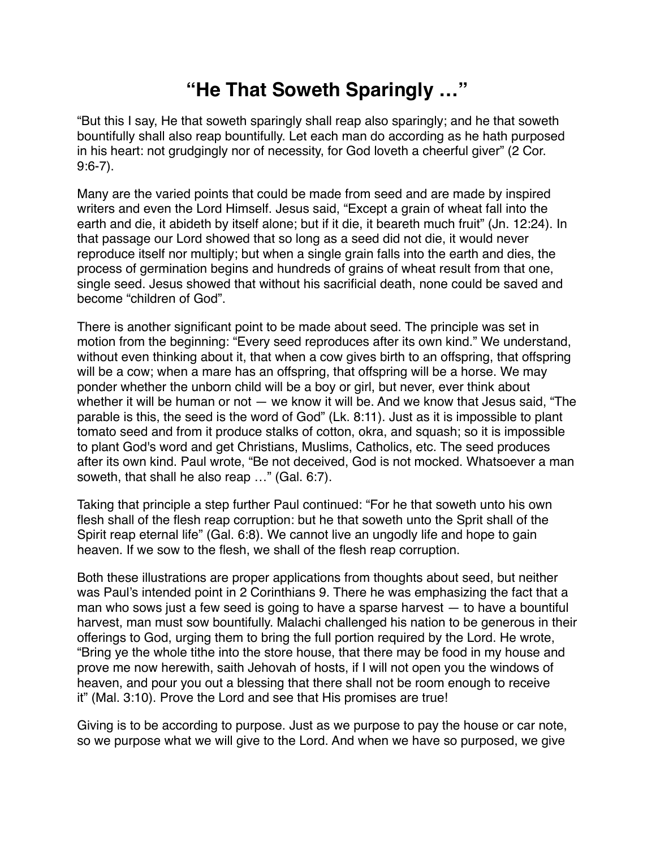## **"He That Soweth Sparingly …"**

"But this I say, He that soweth sparingly shall reap also sparingly; and he that soweth bountifully shall also reap bountifully. Let each man do according as he hath purposed in his heart: not grudgingly nor of necessity, for God loveth a cheerful giver" (2 Cor. 9:6-7).

Many are the varied points that could be made from seed and are made by inspired writers and even the Lord Himself. Jesus said, "Except a grain of wheat fall into the earth and die, it abideth by itself alone; but if it die, it beareth much fruit" (Jn. 12:24). In that passage our Lord showed that so long as a seed did not die, it would never reproduce itself nor multiply; but when a single grain falls into the earth and dies, the process of germination begins and hundreds of grains of wheat result from that one, single seed. Jesus showed that without his sacrificial death, none could be saved and become "children of God".

There is another significant point to be made about seed. The principle was set in motion from the beginning: "Every seed reproduces after its own kind." We understand, without even thinking about it, that when a cow gives birth to an offspring, that offspring will be a cow; when a mare has an offspring, that offspring will be a horse. We may ponder whether the unborn child will be a boy or girl, but never, ever think about whether it will be human or not — we know it will be. And we know that Jesus said, "The parable is this, the seed is the word of God" (Lk. 8:11). Just as it is impossible to plant tomato seed and from it produce stalks of cotton, okra, and squash; so it is impossible to plant God's word and get Christians, Muslims, Catholics, etc. The seed produces after its own kind. Paul wrote, "Be not deceived, God is not mocked. Whatsoever a man soweth, that shall he also reap …" (Gal. 6:7).

Taking that principle a step further Paul continued: "For he that soweth unto his own flesh shall of the flesh reap corruption: but he that soweth unto the Sprit shall of the Spirit reap eternal life" (Gal. 6:8). We cannot live an ungodly life and hope to gain heaven. If we sow to the flesh, we shall of the flesh reap corruption.

Both these illustrations are proper applications from thoughts about seed, but neither was Paul's intended point in 2 Corinthians 9. There he was emphasizing the fact that a man who sows just a few seed is going to have a sparse harvest — to have a bountiful harvest, man must sow bountifully. Malachi challenged his nation to be generous in their offerings to God, urging them to bring the full portion required by the Lord. He wrote, "Bring ye the whole tithe into the store house, that there may be food in my house and prove me now herewith, saith Jehovah of hosts, if I will not open you the windows of heaven, and pour you out a blessing that there shall not be room enough to receive it" (Mal. 3:10). Prove the Lord and see that His promises are true!

Giving is to be according to purpose. Just as we purpose to pay the house or car note, so we purpose what we will give to the Lord. And when we have so purposed, we give